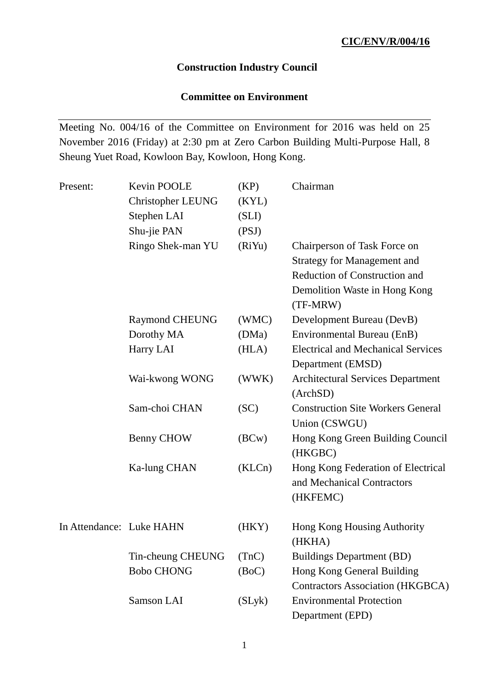# **Construction Industry Council**

# **Committee on Environment**

Meeting No. 004/16 of the Committee on Environment for 2016 was held on 25 November 2016 (Friday) at 2:30 pm at Zero Carbon Building Multi-Purpose Hall, 8 Sheung Yuet Road, Kowloon Bay, Kowloon, Hong Kong.

| Present:                 | Kevin POOLE<br><b>Christopher LEUNG</b> | (KP)<br>(KYL) | Chairman                                                         |
|--------------------------|-----------------------------------------|---------------|------------------------------------------------------------------|
|                          | Stephen LAI                             | (SLI)         |                                                                  |
|                          | Shu-jie PAN                             | (PSJ)         |                                                                  |
|                          | Ringo Shek-man YU                       | (RiYu)        | Chairperson of Task Force on                                     |
|                          |                                         |               | <b>Strategy for Management and</b>                               |
|                          |                                         |               | <b>Reduction of Construction and</b>                             |
|                          |                                         |               | Demolition Waste in Hong Kong<br>(TF-MRW)                        |
|                          | <b>Raymond CHEUNG</b>                   | (WMC)         | Development Bureau (DevB)                                        |
|                          | Dorothy MA                              | (DMa)         | Environmental Bureau (EnB)                                       |
|                          | Harry LAI                               | (HLA)         | <b>Electrical and Mechanical Services</b>                        |
|                          |                                         |               | Department (EMSD)                                                |
|                          | Wai-kwong WONG                          | (WWK)         | <b>Architectural Services Department</b>                         |
|                          |                                         |               | (ArchSD)                                                         |
|                          | Sam-choi CHAN                           | (SC)          | <b>Construction Site Workers General</b>                         |
|                          |                                         |               | Union (CSWGU)                                                    |
|                          | Benny CHOW                              | (BCW)         | Hong Kong Green Building Council<br>(HKGBC)                      |
|                          | Ka-lung CHAN                            | (KLCn)        | Hong Kong Federation of Electrical<br>and Mechanical Contractors |
|                          |                                         |               | (HKFEMC)                                                         |
| In Attendance: Luke HAHN |                                         | (HKY)         | Hong Kong Housing Authority                                      |
|                          |                                         |               | (HKHA)                                                           |
|                          | Tin-cheung CHEUNG                       | (TnC)         | <b>Buildings Department (BD)</b>                                 |
|                          | <b>Bobo CHONG</b>                       | (BoC)         | Hong Kong General Building                                       |
|                          |                                         |               | <b>Contractors Association (HKGBCA)</b>                          |
|                          | <b>Samson LAI</b>                       | (SLyk)        | <b>Environmental Protection</b>                                  |
|                          |                                         |               | Department (EPD)                                                 |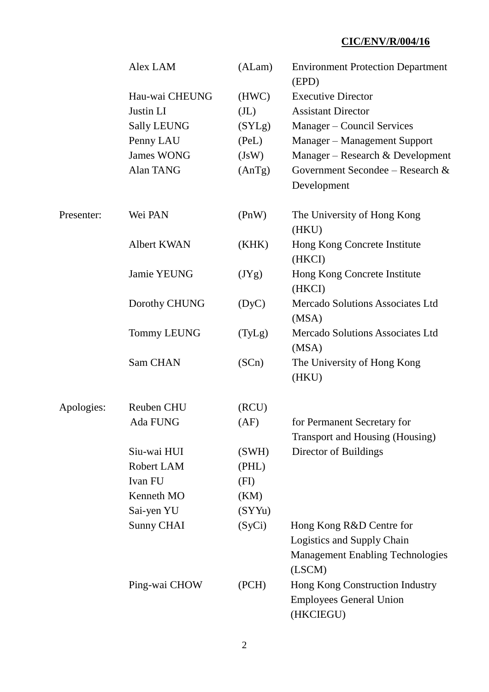|            | Alex LAM           | (ALam)            | <b>Environment Protection Department</b><br>(EPD)                                                           |
|------------|--------------------|-------------------|-------------------------------------------------------------------------------------------------------------|
|            | Hau-wai CHEUNG     | (HWC)             | <b>Executive Director</b>                                                                                   |
|            | Justin LI          | (J <sub>L</sub> ) | <b>Assistant Director</b>                                                                                   |
|            | <b>Sally LEUNG</b> | (SYLg)            | Manager - Council Services                                                                                  |
|            | Penny LAU          | (PeL)             | Manager - Management Support                                                                                |
|            | <b>James WONG</b>  | (JsW)             | Manager - Research & Development                                                                            |
|            | Alan TANG          | (AnTg)            | Government Secondee – Research $\&$                                                                         |
|            |                    |                   | Development                                                                                                 |
| Presenter: | Wei PAN            | ( PnW )           | The University of Hong Kong<br>(HKU)                                                                        |
|            | <b>Albert KWAN</b> | (KHK)             | Hong Kong Concrete Institute<br>(HKCI)                                                                      |
|            | Jamie YEUNG        | (JYg)             | Hong Kong Concrete Institute<br>(HKCI)                                                                      |
|            | Dorothy CHUNG      | (DyC)             | Mercado Solutions Associates Ltd<br>(MSA)                                                                   |
|            | <b>Tommy LEUNG</b> | (TyLg)            | Mercado Solutions Associates Ltd<br>(MSA)                                                                   |
|            | Sam CHAN           | (SCn)             | The University of Hong Kong<br>(HKU)                                                                        |
| Apologies: | <b>Reuben CHU</b>  | (RCU)             |                                                                                                             |
|            | Ada FUNG           | (AF)              | for Permanent Secretary for<br>Transport and Housing (Housing)                                              |
|            | Siu-wai HUI        | (SWH)             | Director of Buildings                                                                                       |
|            | Robert LAM         | (PHL)             |                                                                                                             |
|            | Ivan FU            | (FI)              |                                                                                                             |
|            | Kenneth MO         | (KM)              |                                                                                                             |
|            | Sai-yen YU         | (SYYu)            |                                                                                                             |
|            | <b>Sunny CHAI</b>  | (SyCi)            | Hong Kong R&D Centre for<br>Logistics and Supply Chain<br><b>Management Enabling Technologies</b><br>(LSCM) |
|            | Ping-wai CHOW      | (PCH)             | Hong Kong Construction Industry<br><b>Employees General Union</b><br>(HKCIEGU)                              |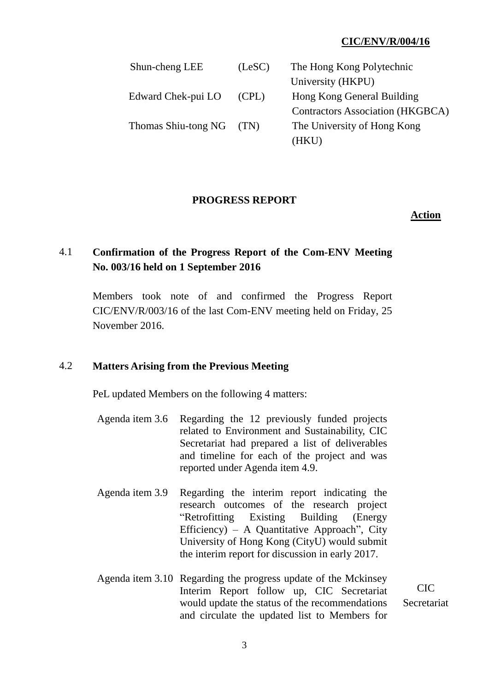| Shun-cheng LEE      | (LeSC) | The Hong Kong Polytechnic               |
|---------------------|--------|-----------------------------------------|
|                     |        | University (HKPU)                       |
| Edward Chek-pui LO  | (CPL)  | Hong Kong General Building              |
|                     |        | <b>Contractors Association (HKGBCA)</b> |
| Thomas Shiu-tong NG | (TN)   | The University of Hong Kong             |
|                     |        | (HKU)                                   |

#### **PROGRESS REPORT**

#### **Action**

# 4.1 **Confirmation of the Progress Report of the Com-ENV Meeting No. 003/16 held on 1 September 2016**

Members took note of and confirmed the Progress Report CIC/ENV/R/003/16 of the last Com-ENV meeting held on Friday, 25 November 2016.

### 4.2 **Matters Arising from the Previous Meeting**

PeL updated Members on the following 4 matters:

- Agenda item 3.6 Regarding the 12 previously funded projects related to Environment and Sustainability, CIC Secretariat had prepared a list of deliverables and timeline for each of the project and was reported under Agenda item 4.9.
- Agenda item 3.9 Regarding the interim report indicating the research outcomes of the research project "Retrofitting Existing Building (Energy Efficiency) – A Quantitative Approach", City University of Hong Kong (CityU) would submit the interim report for discussion in early 2017.
- Agenda item 3.10 Regarding the progress update of the Mckinsey Interim Report follow up, CIC Secretariat would update the status of the recommendations and circulate the updated list to Members for

CIC Secretariat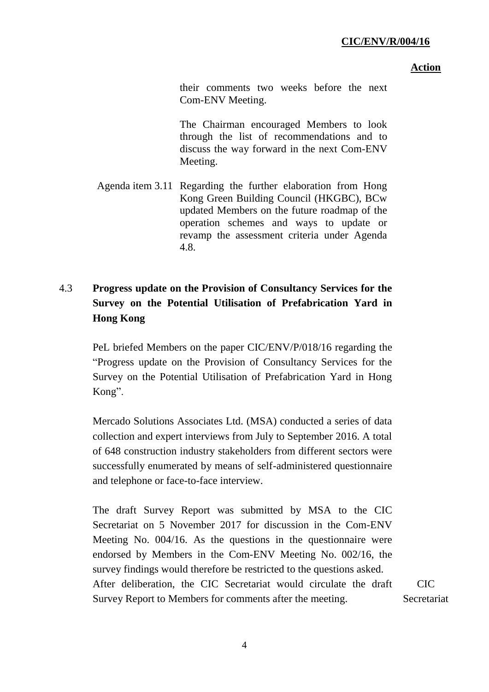#### **Action**

their comments two weeks before the next Com-ENV Meeting.

The Chairman encouraged Members to look through the list of recommendations and to discuss the way forward in the next Com-ENV Meeting.

Agenda item 3.11 Regarding the further elaboration from Hong Kong Green Building Council (HKGBC), BCw updated Members on the future roadmap of the operation schemes and ways to update or revamp the assessment criteria under Agenda 4.8.

# 4.3 **Progress update on the Provision of Consultancy Services for the Survey on the Potential Utilisation of Prefabrication Yard in Hong Kong**

PeL briefed Members on the paper CIC/ENV/P/018/16 regarding the "Progress update on the Provision of Consultancy Services for the Survey on the Potential Utilisation of Prefabrication Yard in Hong Kong".

Mercado Solutions Associates Ltd. (MSA) conducted a series of data collection and expert interviews from July to September 2016. A total of 648 construction industry stakeholders from different sectors were successfully enumerated by means of self-administered questionnaire and telephone or face-to-face interview.

The draft Survey Report was submitted by MSA to the CIC Secretariat on 5 November 2017 for discussion in the Com-ENV Meeting No. 004/16. As the questions in the questionnaire were endorsed by Members in the Com-ENV Meeting No. 002/16, the survey findings would therefore be restricted to the questions asked. After deliberation, the CIC Secretariat would circulate the draft Survey Report to Members for comments after the meeting. CIC **Secretariat**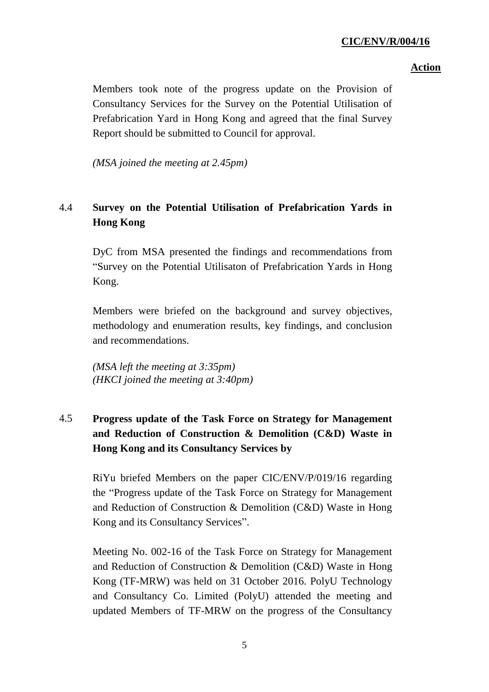## **Action**

Members took note of the progress update on the Provision of Consultancy Services for the Survey on the Potential Utilisation of Prefabrication Yard in Hong Kong and agreed that the final Survey Report should be submitted to Council for approval.

*(MSA joined the meeting at 2.45pm)*

# 4.4 **Survey on the Potential Utilisation of Prefabrication Yards in Hong Kong**

DyC from MSA presented the findings and recommendations from "Survey on the Potential Utilisaton of Prefabrication Yards in Hong Kong.

Members were briefed on the background and survey objectives, methodology and enumeration results, key findings, and conclusion and recommendations.

*(MSA left the meeting at 3:35pm) (HKCI joined the meeting at 3:40pm)*

# 4.5 **Progress update of the Task Force on Strategy for Management and Reduction of Construction & Demolition (C&D) Waste in Hong Kong and its Consultancy Services by**

RiYu briefed Members on the paper CIC/ENV/P/019/16 regarding the "Progress update of the Task Force on Strategy for Management and Reduction of Construction & Demolition (C&D) Waste in Hong Kong and its Consultancy Services".

Meeting No. 002-16 of the Task Force on Strategy for Management and Reduction of Construction & Demolition (C&D) Waste in Hong Kong (TF-MRW) was held on 31 October 2016. PolyU Technology and Consultancy Co. Limited (PolyU) attended the meeting and updated Members of TF-MRW on the progress of the Consultancy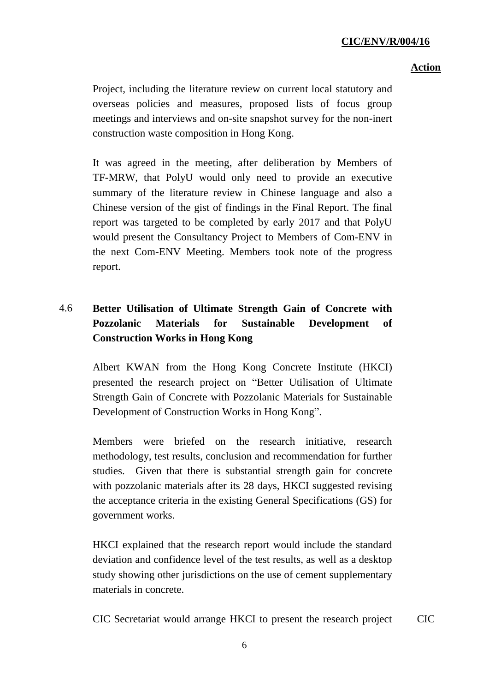# **Action**

Project, including the literature review on current local statutory and overseas policies and measures, proposed lists of focus group meetings and interviews and on-site snapshot survey for the non-inert construction waste composition in Hong Kong.

It was agreed in the meeting, after deliberation by Members of TF-MRW, that PolyU would only need to provide an executive summary of the literature review in Chinese language and also a Chinese version of the gist of findings in the Final Report. The final report was targeted to be completed by early 2017 and that PolyU would present the Consultancy Project to Members of Com-ENV in the next Com-ENV Meeting. Members took note of the progress report.

# 4.6 **Better Utilisation of Ultimate Strength Gain of Concrete with Pozzolanic Materials for Sustainable Development of Construction Works in Hong Kong**

Albert KWAN from the Hong Kong Concrete Institute (HKCI) presented the research project on "Better Utilisation of Ultimate Strength Gain of Concrete with Pozzolanic Materials for Sustainable Development of Construction Works in Hong Kong".

Members were briefed on the research initiative, research methodology, test results, conclusion and recommendation for further studies. Given that there is substantial strength gain for concrete with pozzolanic materials after its 28 days, HKCI suggested revising the acceptance criteria in the existing General Specifications (GS) for government works.

HKCI explained that the research report would include the standard deviation and confidence level of the test results, as well as a desktop study showing other jurisdictions on the use of cement supplementary materials in concrete.

CIC Secretariat would arrange HKCI to present the research project CIC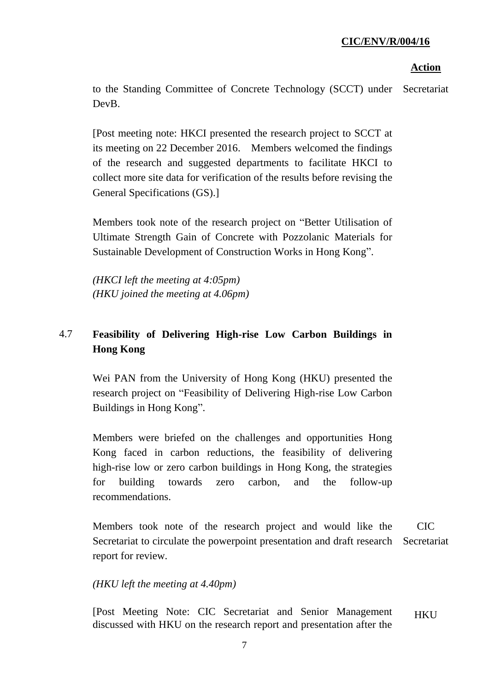## **Action**

to the Standing Committee of Concrete Technology (SCCT) under DevB. Secretariat

[Post meeting note: HKCI presented the research project to SCCT at its meeting on 22 December 2016. Members welcomed the findings of the research and suggested departments to facilitate HKCI to collect more site data for verification of the results before revising the General Specifications (GS).]

Members took note of the research project on "Better Utilisation of Ultimate Strength Gain of Concrete with Pozzolanic Materials for Sustainable Development of Construction Works in Hong Kong".

*(HKCI left the meeting at 4:05pm) (HKU joined the meeting at 4.06pm)*

# 4.7 **Feasibility of Delivering High-rise Low Carbon Buildings in Hong Kong**

Wei PAN from the University of Hong Kong (HKU) presented the research project on "Feasibility of Delivering High-rise Low Carbon Buildings in Hong Kong".

Members were briefed on the challenges and opportunities Hong Kong faced in carbon reductions, the feasibility of delivering high-rise low or zero carbon buildings in Hong Kong, the strategies for building towards zero carbon, and the follow-up recommendations.

Members took note of the research project and would like the Secretariat to circulate the powerpoint presentation and draft research report for review. CIC Secretariat

### *(HKU left the meeting at 4.40pm)*

[Post Meeting Note: CIC Secretariat and Senior Management discussed with HKU on the research report and presentation after the **HKU**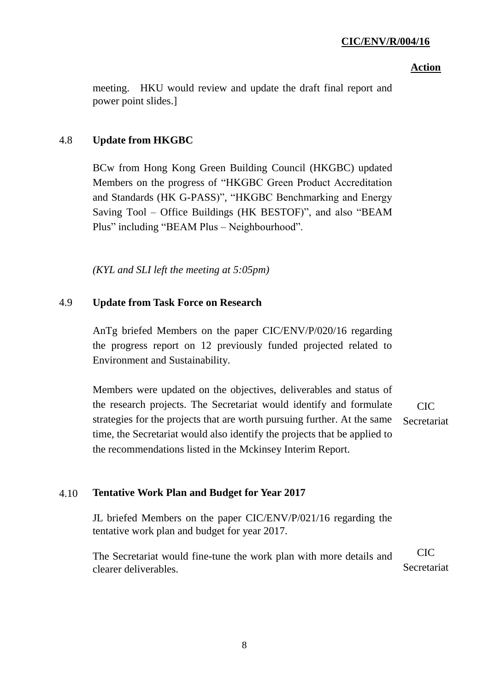### **Action**

meeting. HKU would review and update the draft final report and power point slides.]

# 4.8 **Update from HKGBC**

BCw from Hong Kong Green Building Council (HKGBC) updated Members on the progress of "HKGBC Green Product Accreditation and Standards (HK G-PASS)", "HKGBC Benchmarking and Energy Saving Tool – Office Buildings (HK BESTOF)", and also "BEAM Plus" including "BEAM Plus – Neighbourhood".

*(KYL and SLI left the meeting at 5:05pm)*

# 4.9 **Update from Task Force on Research**

AnTg briefed Members on the paper CIC/ENV/P/020/16 regarding the progress report on 12 previously funded projected related to Environment and Sustainability.

Members were updated on the objectives, deliverables and status of the research projects. The Secretariat would identify and formulate strategies for the projects that are worth pursuing further. At the same time, the Secretariat would also identify the projects that be applied to the recommendations listed in the Mckinsey Interim Report. CIC **Secretariat** 

# 4.10 **Tentative Work Plan and Budget for Year 2017**

JL briefed Members on the paper CIC/ENV/P/021/16 regarding the tentative work plan and budget for year 2017.

The Secretariat would fine-tune the work plan with more details and clearer deliverables. CIC Secretariat